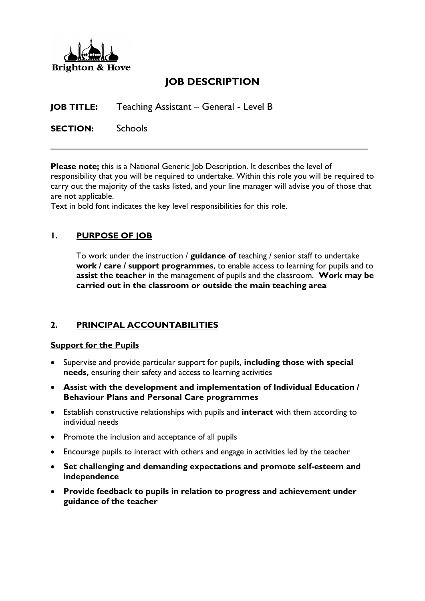

# **JOB DESCRIPTION**

**JOB TITLE:** Teaching Assistant – General - Level B

**SECTION:** Schools

**Please note;** this is a National Generic Job Description. It describes the level of responsibility that you will be required to undertake. Within this role you will be required to carry out the majority of the tasks listed, and your line manager will advise you of those that are not applicable.

Text in bold font indicates the key level responsibilities for this role.

# **1. PURPOSE OF JOB**

To work under the instruction / **guidance of** teaching / senior staff to undertake **work / care / support programmes**, to enable access to learning for pupils and to **assist the teacher** in the management of pupils and the classroom. **Work may be carried out in the classroom or outside the main teaching area**

## **2. PRINCIPAL ACCOUNTABILITIES**

#### **Support for the Pupils**

- Supervise and provide particular support for pupils, **including those with special needs,** ensuring their safety and access to learning activities
- **Assist with the development and implementation of Individual Education / Behaviour Plans and Personal Care programmes**
- Establish constructive relationships with pupils and **interact** with them according to individual needs
- Promote the inclusion and acceptance of all pupils
- Encourage pupils to interact with others and engage in activities led by the teacher
- **Set challenging and demanding expectations and promote self-esteem and independence**
- **Provide feedback to pupils in relation to progress and achievement under guidance of the teacher**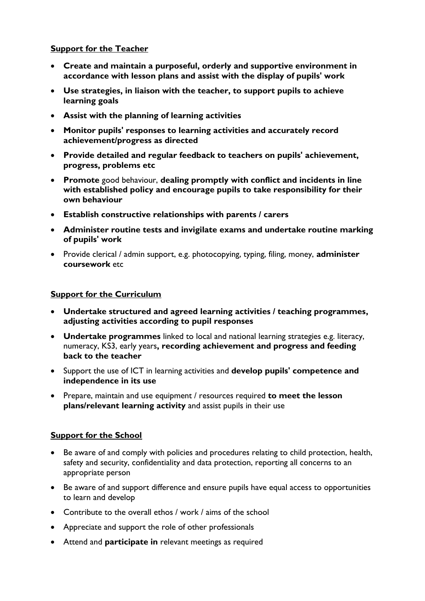# **Support for the Teacher**

- **Create and maintain a purposeful, orderly and supportive environment in accordance with lesson plans and assist with the display of pupils' work**
- **Use strategies, in liaison with the teacher, to support pupils to achieve learning goals**
- **Assist with the planning of learning activities**
- **Monitor pupils' responses to learning activities and accurately record achievement/progress as directed**
- **Provide detailed and regular feedback to teachers on pupils' achievement, progress, problems etc**
- **Promote** good behaviour, **dealing promptly with conflict and incidents in line with established policy and encourage pupils to take responsibility for their own behaviour**
- **Establish constructive relationships with parents / carers**
- **Administer routine tests and invigilate exams and undertake routine marking of pupils' work**
- Provide clerical / admin support, e.g. photocopying, typing, filing, money, **administer coursework** etc

### **Support for the Curriculum**

- **Undertake structured and agreed learning activities / teaching programmes, adjusting activities according to pupil responses**
- **Undertake programmes** linked to local and national learning strategies e.g. literacy, numeracy, KS3, early years**, recording achievement and progress and feeding back to the teacher**
- Support the use of ICT in learning activities and **develop pupils' competence and independence in its use**
- Prepare, maintain and use equipment / resources required **to meet the lesson plans/relevant learning activity** and assist pupils in their use

### **Support for the School**

- Be aware of and comply with policies and procedures relating to child protection, health, safety and security, confidentiality and data protection, reporting all concerns to an appropriate person
- Be aware of and support difference and ensure pupils have equal access to opportunities to learn and develop
- Contribute to the overall ethos / work / aims of the school
- Appreciate and support the role of other professionals
- Attend and **participate in** relevant meetings as required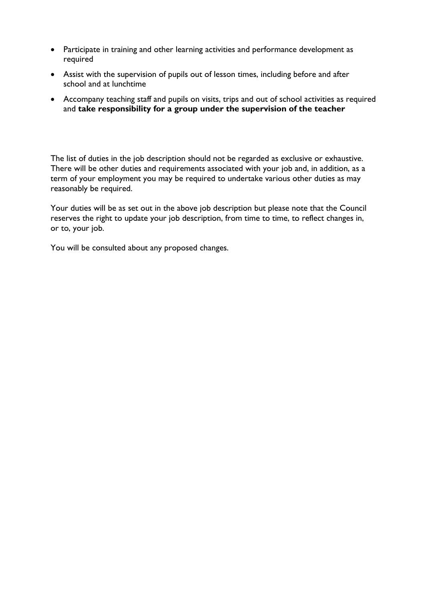- Participate in training and other learning activities and performance development as required
- Assist with the supervision of pupils out of lesson times, including before and after school and at lunchtime
- Accompany teaching staff and pupils on visits, trips and out of school activities as required and **take responsibility for a group under the supervision of the teacher**

The list of duties in the job description should not be regarded as exclusive or exhaustive. There will be other duties and requirements associated with your job and, in addition, as a term of your employment you may be required to undertake various other duties as may reasonably be required.

Your duties will be as set out in the above job description but please note that the Council reserves the right to update your job description, from time to time, to reflect changes in, or to, your job.

You will be consulted about any proposed changes.